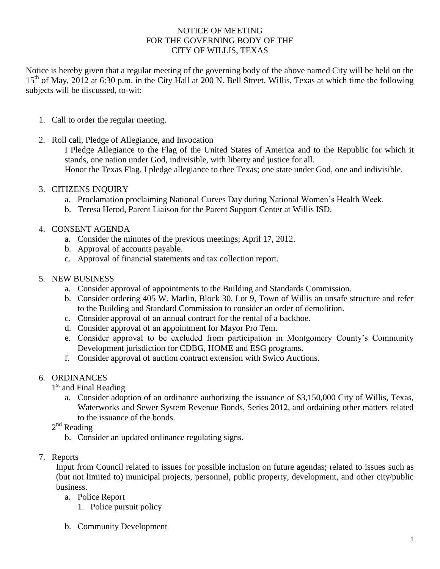### NOTICE OF MEETING FOR THE GOVERNING BODY OF THE CITY OF WILLIS, TEXAS

Notice is hereby given that a regular meeting of the governing body of the above named City will be held on the 15<sup>th</sup> of May, 2012 at 6:30 p.m. in the City Hall at 200 N. Bell Street, Willis, Texas at which time the following subjects will be discussed, to-wit:

- 1. Call to order the regular meeting.
- 2. Roll call, Pledge of Allegiance, and Invocation

I Pledge Allegiance to the Flag of the United States of America and to the Republic for which it stands, one nation under God, indivisible, with liberty and justice for all. Honor the Texas Flag. I pledge allegiance to thee Texas; one state under God, one and indivisible.

- 3. CITIZENS INQUIRY
	- a. Proclamation proclaiming National Curves Day during National Women's Health Week.
	- b. Teresa Herod, Parent Liaison for the Parent Support Center at Willis ISD.
- 4. CONSENT AGENDA
	- a. Consider the minutes of the previous meetings; April 17, 2012.
	- b. Approval of accounts payable.
	- c. Approval of financial statements and tax collection report.

## 5. NEW BUSINESS

- a. Consider approval of appointments to the Building and Standards Commission.
- b. Consider ordering 405 W. Marlin, Block 30, Lot 9, Town of Willis an unsafe structure and refer to the Building and Standard Commission to consider an order of demolition.
- c. Consider approval of an annual contract for the rental of a backhoe.
- d. Consider approval of an appointment for Mayor Pro Tem.
- e. Consider approval to be excluded from participation in Montgomery County's Community Development jurisdiction for CDBG, HOME and ESG programs.
- f. Consider approval of auction contract extension with Swico Auctions.

# 6. ORDINANCES

- 1<sup>st</sup> and Final Reading
	- a. Consider adoption of an ordinance authorizing the issuance of \$3,150,000 City of Willis, Texas, Waterworks and Sewer System Revenue Bonds, Series 2012, and ordaining other matters related to the issuance of the bonds.
- 2<sup>nd</sup> Reading
	- b. Consider an updated ordinance regulating signs.
- 7. Reports

Input from Council related to issues for possible inclusion on future agendas; related to issues such as (but not limited to) municipal projects, personnel, public property, development, and other city/public business.

- a. Police Report
	- 1. Police pursuit policy
- b. Community Development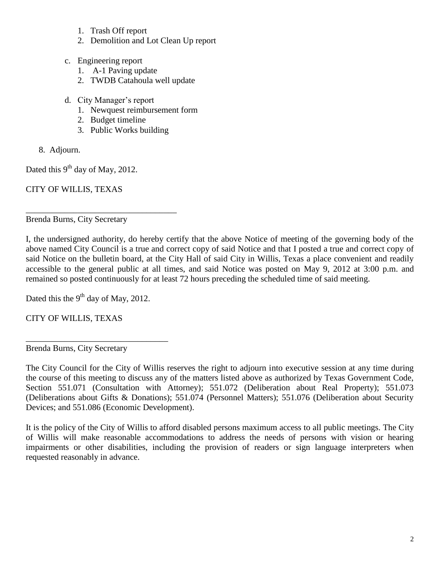- 1. Trash Off report
- 2. Demolition and Lot Clean Up report
- c. Engineering report
	- 1. A-1 Paving update
	- 2. TWDB Catahoula well update
- d. City Manager's report
	- 1. Newquest reimbursement form
	- 2. Budget timeline
	- 3. Public Works building
- 8. Adjourn.

Dated this  $9^{th}$  day of May, 2012.

CITY OF WILLIS, TEXAS

Brenda Burns, City Secretary

\_\_\_\_\_\_\_\_\_\_\_\_\_\_\_\_\_\_\_\_\_\_\_\_\_\_\_\_\_\_\_\_\_\_\_

I, the undersigned authority, do hereby certify that the above Notice of meeting of the governing body of the above named City Council is a true and correct copy of said Notice and that I posted a true and correct copy of said Notice on the bulletin board, at the City Hall of said City in Willis, Texas a place convenient and readily accessible to the general public at all times, and said Notice was posted on May 9, 2012 at 3:00 p.m. and remained so posted continuously for at least 72 hours preceding the scheduled time of said meeting.

Dated this the  $9<sup>th</sup>$  day of May, 2012.

\_\_\_\_\_\_\_\_\_\_\_\_\_\_\_\_\_\_\_\_\_\_\_\_\_\_\_\_\_\_\_\_\_

CITY OF WILLIS, TEXAS

Brenda Burns, City Secretary

The City Council for the City of Willis reserves the right to adjourn into executive session at any time during the course of this meeting to discuss any of the matters listed above as authorized by Texas Government Code, Section 551.071 (Consultation with Attorney); 551.072 (Deliberation about Real Property); 551.073 (Deliberations about Gifts & Donations); 551.074 (Personnel Matters); 551.076 (Deliberation about Security Devices; and 551.086 (Economic Development).

It is the policy of the City of Willis to afford disabled persons maximum access to all public meetings. The City of Willis will make reasonable accommodations to address the needs of persons with vision or hearing impairments or other disabilities, including the provision of readers or sign language interpreters when requested reasonably in advance.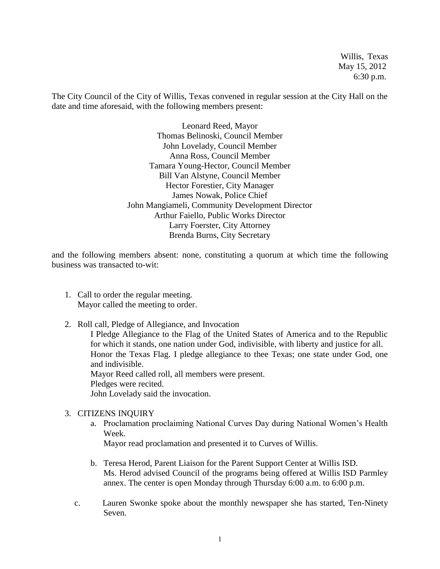Willis, Texas May 15, 2012 6:30 p.m.

The City Council of the City of Willis, Texas convened in regular session at the City Hall on the date and time aforesaid, with the following members present:

> Leonard Reed, Mayor Thomas Belinoski, Council Member John Lovelady, Council Member Anna Ross, Council Member Tamara Young-Hector, Council Member Bill Van Alstyne, Council Member Hector Forestier, City Manager James Nowak, Police Chief John Mangiameli, Community Development Director Arthur Faiello, Public Works Director Larry Foerster, City Attorney Brenda Burns, City Secretary

and the following members absent: none, constituting a quorum at which time the following business was transacted to-wit:

- 1. Call to order the regular meeting. Mayor called the meeting to order.
- 2. Roll call, Pledge of Allegiance, and Invocation I Pledge Allegiance to the Flag of the United States of America and to the Republic for which it stands, one nation under God, indivisible, with liberty and justice for all. Honor the Texas Flag. I pledge allegiance to thee Texas; one state under God, one and indivisible. Mayor Reed called roll, all members were present. Pledges were recited. John Lovelady said the invocation.

#### 3. CITIZENS INQUIRY

a. Proclamation proclaiming National Curves Day during National Women's Health Week.

Mayor read proclamation and presented it to Curves of Willis.

- b. Teresa Herod, Parent Liaison for the Parent Support Center at Willis ISD. Ms. Herod advised Council of the programs being offered at Willis ISD Parmley annex. The center is open Monday through Thursday 6:00 a.m. to 6:00 p.m.
- c. Lauren Swonke spoke about the monthly newspaper she has started, Ten-Ninety Seven.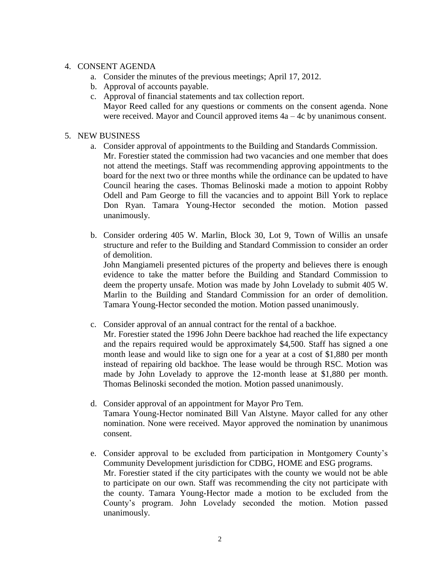### 4. CONSENT AGENDA

- a. Consider the minutes of the previous meetings; April 17, 2012.
- b. Approval of accounts payable.
- c. Approval of financial statements and tax collection report. Mayor Reed called for any questions or comments on the consent agenda. None were received. Mayor and Council approved items 4a – 4c by unanimous consent.

### 5. NEW BUSINESS

- a. Consider approval of appointments to the Building and Standards Commission. Mr. Forestier stated the commission had two vacancies and one member that does not attend the meetings. Staff was recommending approving appointments to the board for the next two or three months while the ordinance can be updated to have Council hearing the cases. Thomas Belinoski made a motion to appoint Robby Odell and Pam George to fill the vacancies and to appoint Bill York to replace Don Ryan. Tamara Young-Hector seconded the motion. Motion passed unanimously.
- b. Consider ordering 405 W. Marlin, Block 30, Lot 9, Town of Willis an unsafe structure and refer to the Building and Standard Commission to consider an order of demolition.

John Mangiameli presented pictures of the property and believes there is enough evidence to take the matter before the Building and Standard Commission to deem the property unsafe. Motion was made by John Lovelady to submit 405 W. Marlin to the Building and Standard Commission for an order of demolition. Tamara Young-Hector seconded the motion. Motion passed unanimously.

- c. Consider approval of an annual contract for the rental of a backhoe.
	- Mr. Forestier stated the 1996 John Deere backhoe had reached the life expectancy and the repairs required would be approximately \$4,500. Staff has signed a one month lease and would like to sign one for a year at a cost of \$1,880 per month instead of repairing old backhoe. The lease would be through RSC. Motion was made by John Lovelady to approve the 12-month lease at \$1,880 per month. Thomas Belinoski seconded the motion. Motion passed unanimously.
- d. Consider approval of an appointment for Mayor Pro Tem. Tamara Young-Hector nominated Bill Van Alstyne. Mayor called for any other nomination. None were received. Mayor approved the nomination by unanimous consent.
- e. Consider approval to be excluded from participation in Montgomery County's Community Development jurisdiction for CDBG, HOME and ESG programs. Mr. Forestier stated if the city participates with the county we would not be able to participate on our own. Staff was recommending the city not participate with the county. Tamara Young-Hector made a motion to be excluded from the County's program. John Lovelady seconded the motion. Motion passed unanimously.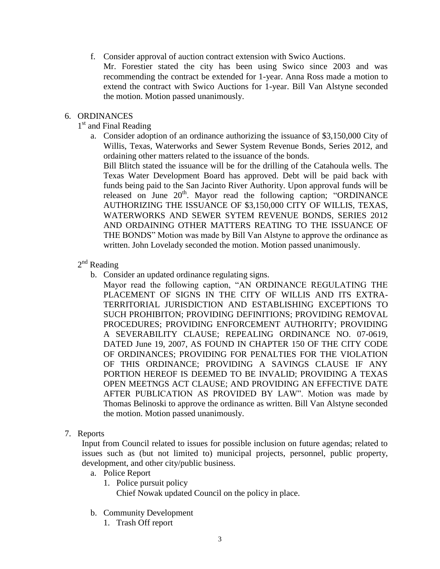f. Consider approval of auction contract extension with Swico Auctions.

Mr. Forestier stated the city has been using Swico since 2003 and was recommending the contract be extended for 1-year. Anna Ross made a motion to extend the contract with Swico Auctions for 1-year. Bill Van Alstyne seconded the motion. Motion passed unanimously.

#### 6. ORDINANCES

## 1<sup>st</sup> and Final Reading

a. Consider adoption of an ordinance authorizing the issuance of \$3,150,000 City of Willis, Texas, Waterworks and Sewer System Revenue Bonds, Series 2012, and ordaining other matters related to the issuance of the bonds.

Bill Blitch stated the issuance will be for the drilling of the Catahoula wells. The Texas Water Development Board has approved. Debt will be paid back with funds being paid to the San Jacinto River Authority. Upon approval funds will be released on June 20<sup>th</sup>. Mayor read the following caption; "ORDINANCE AUTHORIZING THE ISSUANCE OF \$3,150,000 CITY OF WILLIS, TEXAS, WATERWORKS AND SEWER SYTEM REVENUE BONDS, SERIES 2012 AND ORDAINING OTHER MATTERS REATING TO THE ISSUANCE OF THE BONDS" Motion was made by Bill Van Alstyne to approve the ordinance as written. John Lovelady seconded the motion. Motion passed unanimously.

## $2<sup>nd</sup>$  Reading

b. Consider an updated ordinance regulating signs.

Mayor read the following caption, "AN ORDINANCE REGULATING THE PLACEMENT OF SIGNS IN THE CITY OF WILLIS AND ITS EXTRA-TERRITORIAL JURISDICTION AND ESTABLISHING EXCEPTIONS TO SUCH PROHIBITON; PROVIDING DEFINITIONS; PROVIDING REMOVAL PROCEDURES; PROVIDING ENFORCEMENT AUTHORITY; PROVIDING A SEVERABILITY CLAUSE; REPEALING ORDINANCE NO. 07-0619, DATED June 19, 2007, AS FOUND IN CHAPTER 150 OF THE CITY CODE OF ORDINANCES; PROVIDING FOR PENALTIES FOR THE VIOLATION OF THIS ORDINANCE; PROVIDING A SAVINGS CLAUSE IF ANY PORTION HEREOF IS DEEMED TO BE INVALID; PROVIDING A TEXAS OPEN MEETNGS ACT CLAUSE; AND PROVIDING AN EFFECTIVE DATE AFTER PUBLICATION AS PROVIDED BY LAW". Motion was made by Thomas Belinoski to approve the ordinance as written. Bill Van Alstyne seconded the motion. Motion passed unanimously.

#### 7. Reports

Input from Council related to issues for possible inclusion on future agendas; related to issues such as (but not limited to) municipal projects, personnel, public property, development, and other city/public business.

- a. Police Report
	- 1. Police pursuit policy

Chief Nowak updated Council on the policy in place.

- b. Community Development
	- 1. Trash Off report